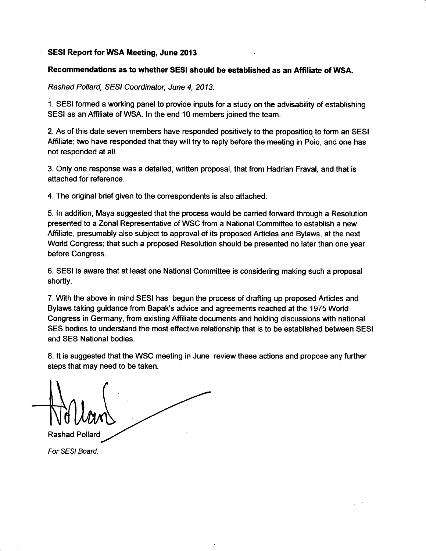#### SESI Report for WSA Meeting, June 2013

#### Recommendations as to whether SESI should be established as an Affiliate of WSA.

Rashad Pollard, SESI Coordinator, June 4, 2013.

1. SESI formed a working panel to provide inputs for a study on the advisability of establishing SESI as an Affiliate of WSA. In the end 10 members joined the team.

2. As of this date seven members have responded positively to the proposition to form an SESI Affiliate; two have responded that they will try to reply before the meeting in Poio, and one has not responded at all.

3. Only one response was a detailed, written proposal, that from Hadrian Fraval, and that is attached for reference.

4. The original brief given to the conespondents is also attached.

5. ln addition, Maya suggested that the process would be caried forward through a Resolution presented to a Zonal Representative of WSC from a National Committee to establish a new Affiliate, presumably also subject to approval of its proposed Articles and Bylaws, at the next World Congress; that such a proposed Resolution should be presented no later than one year before Congress.

6. SESI is aware that at least one National Committee is considering making such a proposal shortly.

7. With the above in mind SESI has begun the process of drafiing up proposed Articles and Bylaws taking guidance from Bapak's advice and agreements reached at the 1975 World Congress in Germany, from existing Affiliate documents and holding discussions with national SES bodies to understand the most effective relationship that is to be established between SESI and SES National bodies.

8, lt is suggested that the WSC meeting in June review these actions and propose any further

8. It is suggested that the WSC r<br>steps that may need to be taken.<br>And MOU and Rashad Pollard

For SESI Board.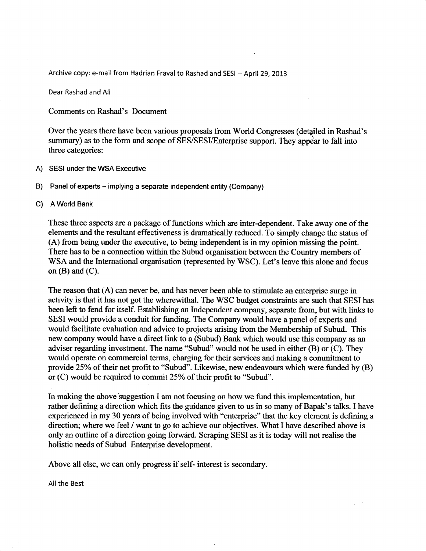Archive copy: e-mail from Hadrian Fraval to Rashad and SESI -- April 29, 2013

Dear Rashad and All

Comments on Rashad's Document

Over the years there have been various proposals from World Congresses (detailed in Rashad's summary) as to the form and scope of SES/SESI/Enterprise support. They appear to fall into three categories:

- A) SESI under the WSA Executive
- B) Panel of experts - implying a separate independent entity (Company)

#### c) AWorld Bank

These three aspects are a package of functions which are inter-dependent. Take away one of the elements and the resultant effectiveness is dramatically reduced. To simply change the status of (A) from being under the executive, to being independent is in my opinion missing the point. There has to be a connection within the Subud organisation between the Country members of WSA and the International organisation (represented by WSC), Let's leave this alone and focus on  $(B)$  and  $(C)$ .

The reason that (A) can never be, and has never been able to stimulate an enterprise surge in activity is that it has not got the wherewithal. The WSC budget constraints are such that SESI has been left to fend for itself. Establishing an Independent company, separate from, but with links to SESI would provide a conduit for funding. The Company would have a panel of experts and would facilitate evaluation and advice to projects arising from the Membership of Subud. This new company would have a direct link to a (Subud) Bank which would use this company as an adviser regarding investment. The name "Subud" would not be used in either  $(B)$  or  $(C)$ . They would operate on commercial terms, charging for their services and making a commitment to provide  $25%$  of their net profit to "Subud". Likewise, new endeavours which were funded by  $(B)$ or (C) would be required to commit 25Yo of their profit to \*Subud".

In making the above'suggestion I am not focusing on how we fund this implementation, but rather defining a direction which fits the guidance given to us in so many of Bapak's talks. I have experienced in my 30 years of being involved with "enterprise" that the key element is defining a direction; where we feel / want to go to achieve our objectives. What I have described above is only an outline of a direction going forward. Scraping SESI as it is today will not realise the holistic needs of Subud Enterprise development.

Above all else, we can only progress if self- interest is secondary.

All the Best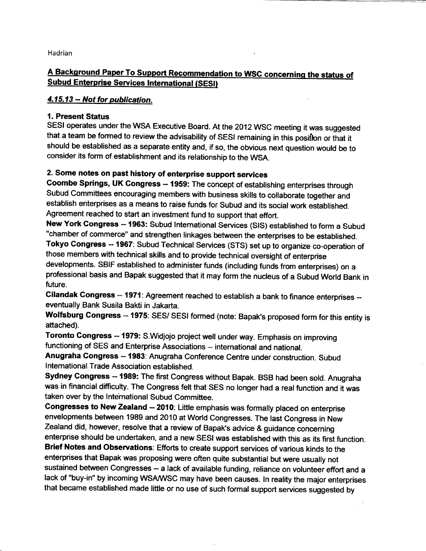Hadrian

# A Background Paper To Support Recommendation to WSC concerning the status of **Subud Enterprise Services International (SESI)**

## 4.15.13 - Not for publication.

## 1. Present Status

SESI operates under the WSA Executive Board. At the 2012 WSC meeting it was suggested that a team be formed to review the advisability of SESI remaining in this position or that it should be established as a separate entity and, if so, the obvious next question would be to consider its form of establishment and its relationship to the wsA.

# 2. Some notes on past history of enterprise support services

Coombe Springs, UK Congress -- 1959: The concept of establishing enterprises through Subud Committees encouraging members with business skills to collaborate together and establish enterprises as a means to raise funds for Subud and its social work established. Agreement reached to start an investment fund to support that effort.

New York Congress -- 1963: Subud International Services (SIS) established to form a Subud "chamber of commerce" and strengthen linkages between the enterprises to be established.

Tokyo Congress -- 1967: Subud Technical Services (STS) set up to organize co-operation of those members with technical skills and to provide technical oversight of enterprise developments. SBIF established to administer funds (including funds from enterprises) on <sup>a</sup> professional basis and Bapak suggested that it may form the nucleus of a Subud World Bank in future.

Cilandak Congress -- 1971: Agreement reached to establish a bank to finance enterprises -eventually Bank Susila Bakti in Jakarta.

Wolfsburg Congress -- 1975: SES/ SESI formed (note: Bapak's proposed form for this entity is attached).

Toronto Congress .. 1979: S.Widjojo project well under way. Emphasis on improving functioning of SES and Enterprise Associations -- international and national.

Anugraha Congress -- 1983: Anugraha Conference Centre under construction. Subud lnternational Trade Association established.

Sydney Congress -- 1989: The first Congress without Bapak. BSB had been sold. Anugraha was in financial difficulty. The Congress felt that SES no longer had a real function and it was taken over by the International Subud Committee.

Congresses to New Zealand -- 2010: Little emphasis was formally placed on enterprise envelopments between 1989 and 2010 at World Congresses. The last Congress in New Zealand did, however, resolve that a review of Bapak's advice & guidance concerning

enterprise should be undertaken, and a new SESI was established with this as its first function. Brief Notes and Observations: Efforts to create support services of various kinds to the enterprises that Bapak was proposing were often quite substantial but were usually not sustained between Congresses -- a lack of available funding, reliance on volunteer effort and a lack of "buy-in" by incoming WSAM/SC may have been causes. ln reality the major enterprises that became established made little or no use of such formal support services suggested by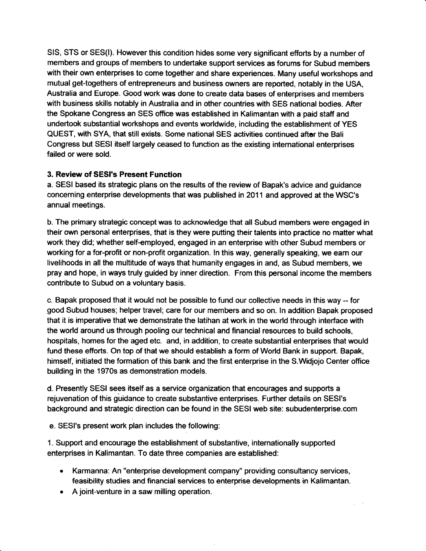SIS, STS or SES(I). However this condition hides some very significant efforts by a number of members and groups of members to undertake support services as forums for Subud members with their own enterprises to come together and share experiences. Many useful workshops and mutual get-togethers of entrepreneurs and business owners are reported, notably in the USA, Australia and Europe. Good work was done to create data bases of enterprises and members with business skills notably in Australia and in other countries with SES national bodies. After the Spokane Congress an SES office was established in Kalimantan with a paid staff and undertook substantial workshops and events worldwide, including the establishment of YES QUEST, with SYA, that still exists. Some national SES activities continued after the Bali Congress but SESI itself largely ceased to function as the existing intemational enterprises failed or were sold.

## 3. Review of SESI's Present Function

a. SESI based its strategic plans on the results of the review of Bapak's advice and guidance conceming enterprise developments that was published in 2011 and approved at the WSC's annual meetings.

b. The primary strategic concept was to acknowledge that all Subud members were engaged in their own personal enterprises, that is they were putting their talents into practice no matter what work they did; whether self-employed, engaged in an enterprise with other Subud members or working for a for-profit or non-profit organization. ln this way, generally speaking, we earn our livelihoods in all the multitude of ways that humanity engages in and, as Subud members, we pray and hope, in ways truly guided by inner direction. From this personal income the members contribute to Subud on a voluntary basis.

c. Bapak proposed that it would not be possible to fund our collective needs in this way - for good Subud houses; helper travel; care for our members and so on. ln addition Bapak proposed that it is imperative that we demonstrate the latihan at work in the world through interface with the world around us through pooling our technical and financial resources to build schools, hospitals, homes for the aged etc. and, in addition, to create substantial enterprises that would fund these efforts. On top of that we should establish a form of World Bank in support. Bapak, himself, initiated the formation of this bank and the first enterprise in the S.Wdjojo Center office building in the 1970s as demonstration models.

d. Presently SESI sees itself as a service organization that encourages and supports a rejuvenation of this guidance to create substantive enterprises. Further details on SESI's background and strategic direction can be found in the SES|web site: subudenterprise.com

e. SESI's present work plan includes the following:

1. Support and encourage the establishment of substantive, intemationally supported enterprises in Kalimantan. To date three companies are established:

- . Karmanna: An "enterprise development company" providing consultancy services, feasibility studies and financial services to enterprise developments in Kalimantan.
- . A joint-venture in a saw milling operation.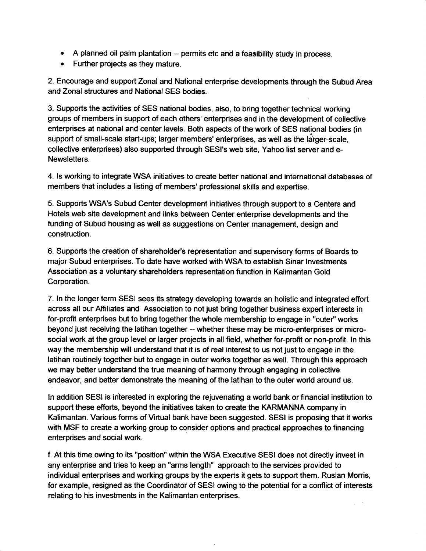- . A planned oil palm plantation permits etc and a feasibility study in process.
- o Further projects as they mature.

2. Encourage and support Zonal and National enterprise developments through the Subud Area and Zonal structures and National SES bodies.

3. Supports the activities of SES national bodies, also, to bring together technical working groups of members in support of each others' enterprises and in the development of collective enterprises at national and center levels. Both aspects of the work of SES national bodies (in support of small-scale start-ups; larger members' enterprises, as well as the larger-scale, collective enterprises) also supported through SESI's web site, Yahoo list server and e-Newsletters.

4. ls working to integrate WSA initiatives to create better national and international databases of members that includes a listing of members' professional skills and expertise.

5. Supports WSA's Subud Center development initiatives through support to a Centers and Hotels web site development and links between Center enterprise developments and the funding of Subud housing as well as suggestions on Center management, design and construction.

6. Supports the creation of shareholder's representation and supervisory forms of Boards to major Subud enterprises. To date have worked with WSA to establish Sinar lnvestments Association as a voluntary shareholders representation function in Kalimantan Gold Corporation.

7. ln the longer term SESI sees its strategy developing towards an holistic and integrated effort across all our Affiliates and Association to not just bring together business expert interests in for-profit enterprises but to bring together the whole membership to engage in "outer" works beyond just receiving the latihan together -- whether these may be micro-enterprises or microsocial work at the group level or larger projects in all field, whether for-profit or non-profit. In this way the membership will understand that it is of real interest to us not just to engage in the latihan routinely together but to engage in outer works together as well. Through this approach we may better understand the true meaning of harmony through engaging in collective endeavor, and better demonstrate the meaning of the latihan to the outer world around us.

ln addition SESI is interested in exploring the rejuvenating a world bank or financial institution to support these efforts, beyond the initiatives taken to create the KARMANNA company in Kalimantan. Various forms of Virtual bank have been suggested. SESI is proposing that it works with MSF to create a working group to consider options and practical approaches to financing enterprises and social work.

f. At this time owing to its "position" within the WSA Executive SESI does not directly invest in any enterprise and tries to keep an "arms length" approach to the services provided to individual enterprises and working groups by the experts it gets to support thern. Ruslan Morris, for example, resigned as the Coordinator of SESI owing to the potential for a conflict of interests relating to his investments in the Kalimantan enterprises.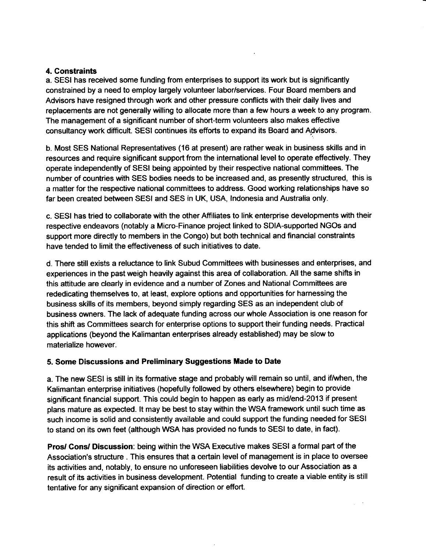## 4. Gonstraints

a. SESI has received some funding from enterprises to support its work but is significantly constrained by a need to employ largely volunteer labor/services. Four Board members and Advisors have resigned through work and other pressure conflicts with their daily lives and replacements are not generally willing to allocate more than a few hours a week to any program. The management of a significant number of short-term volunteers also makes effective consultancy work dfficult. SESI continues its efforts to expand its Board and A9visors.

b. Most SES National Representatives (16 at present) are ratherweak in business skills and in resources and require significant support from the international level to operate effectively. They operate independently of SESI being appointed by their respective national committees. The number of countries with SES bodies needs to be increased and, as presently structured, this is a matter for the respective national committees to address. Good working relationships have so far been created between SESI and SES in UK, USA, lndonesia and Australia only.

c. SESI has tried to collaborate with the other Affiliates to link enterprise developments with their respective endeavors (notably a Micro-Finance project linked to SD|A-supported NGOs and support more directly to members in the Congo) but both technical and financial constraints have tended to limit the effectiveness of such initiatives to date.

d. There still exists a reluctance to link Subud Committees with businesses and enterprises, and experiences in the past weigh heavily against this area of collaboration. All the same shifis in this attitude are clearly in evidence and a number of Zones and National Committees are rededicaling themselves to, at least, explore options and opportunities for harnessing the business skills of its members, beyond sirnply regarding SES as an independent club of business owners. The lack of adequate funding across our whole Association is one reason for this shift as Committees search for enterprise options to support their funding needs. Practical applications (beyond the Kalimantan enterprises already established) may be slow to materialize however.

## 5, Some Discussions and Preliminary Suggestions Made to Date

a. The new SESI is still in its formative stage and probably will remain so until, and if/when, the Kalirnantan enterprise initiatives (hopefully followed by others elsewhere) begin to provide significant financial support. This could begin to happen as early as mid/end-2013 if present plans mature as expected. lt may be best to stay within the WSA framework until such time as such income is solid and consistently available and could support the funding needed for SESI to stand on its own feet (although WSA has provided no funds to SES|to date, in fact).

Pros/ Gons/ Discussion: being within the WSA Executive makes SESI a formal part of the Association's structure . This ensures that a certain level of management is in place to oversee its acfivities and, notably, to ensure no unforeseen liabilities devolve to our Association as a result of its activities in business development. Potential funding to create a viable entity is still tentative for any significant expansion of direction or effort.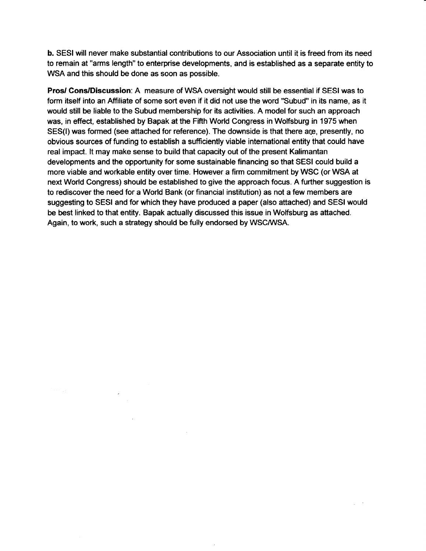b, SESI will never make substantial contributions to our Association until it is freed from its need to remain at "arms length" to enterprise developments, and is established as a separate entity to WSA and this should be done as soon as possible.

Pros/ Gons/Discussion: A measure of WSA oversight would still be essential if SESI was to form itself into an Affiliate of some sort even if it did not use the word "Subud" in its name, as it would still be liable to the Subud membership for its activities. A model for such an approach was, in effect, established by Bapak at the Fifih World Congress in Wolfsburg in 1975 when SES(I) was formed (see attached for reference). The downside is that there are, presently, no obvious sources of funding to establish a sufficiently viable international entity that could have real impact. lt may make sense to build that capacity out of the present Kalimantan developments and the opportunity for some sustainable financing so that SESI could build a more viable and workable entity over time. However a firm commitment by WSC (or WSA at next World Gongress) should be established to give the approach focus. A further suggestion is to rediscover the need for a World Bank (or financial institution) as not a few members are suggesting to SESI and for which they have produced a paper (also attached) and SESI would be best linked to that entity. Bapak actually discussed this issue in Wolfsburg as attached. Again, to work, such a strategy should be fully endorsed by WSCMSA.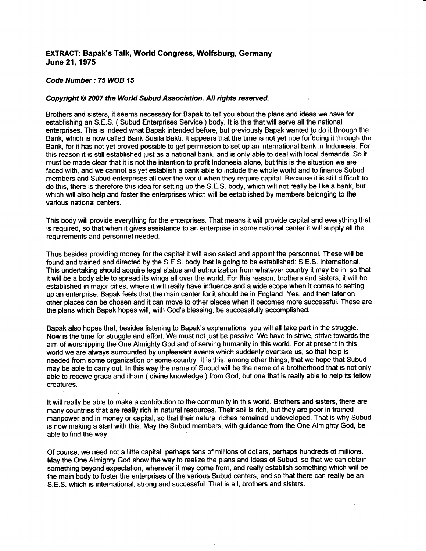#### EXTRACT: Bapak's Talk, World Congress, Wolfsburg, Germany June 21,1975

#### Code Number:75WOB 15

#### Copyright © 2007 the World Subud Association. All rights reserved.

Brothers and sisters, it seems necessary for Bapak to tell you about the plans and ideas we have for establishing an S.E.S. (Subud Enterprises Service) body. It is this that will serve all the national enterprises. This is indeed what Bapak intended before, but previously Bapak wanted to do it through the Bank, which is now called Bank Susila Bakti. lt appears that the time is not yet ripe for doing it through the Bank, for it has not yet proved possible to get permission to set up an international bank in lndonesia. For this reason it is still established just as a national bank, and is only able to deal with local demands. So it must be made clear that it is not the intention to profit lndonesia alone, but this is the situation we are faced with, and we cannot as yet establish a bank able to include the whole world and to finance Subud members and Subud enterprises all over the world when they require capital. Because it is still difficult to do this, there is therefore this idea for setting up the S.E.S. body, which will not really be like a bank, but which will also help and foster the enterprises which will be established by members belonging to the various national centers.

This body will provide everything for the enterprises. That means it will provide capital and everything that is required, so that when it gives assistance to an enterprise in some national center it will supply all the requirements and personnel needed.

Thus besides providing money for the capital it will also select and appoint the personnel. These will be found and trained and directed by the S.E.S. body that is going to be established: S.E.S. lnternational. This undertaking should acquire legal status and authorization from whatever country it may be in, so that it will be a body able to spread its wings all over the world. For this reason, brothers and sisters, it will be established in major cities, where it will really have influence and a wide scope when it comes to setting up an enterprise. Bapak feels that the main center fror it should be in England. Yes, and then later on other places can be chosen and it can move to other places when it becomes more successful. These are the plans which Bapak hopes will, with God's blessing, be successfully accomplished.

Bapak also hopes that, besides listening to Bapak's explanations, you will all take part in the struggle. Now is the time for struggle and effort. We must not just be passive. We have to strive, strive towards the aim of worshipping the One Almighty God and of serving humanity in this world. For at present in this world we are always surrounded by unpleasant events which suddenly overtake us, so that help is needed frorn some organization or some country. lt is this, among other things, that we hope that Subud may be able to carry out. In this way the name of Subud will be the name of a brotherhood that is not only able to receive grace and ilham ( divine knowledge ) from God, but one that is really able to help its fellow creatures.

It will really be able to make a contribution to the community in this world. Brothers and sisters, there are many countries that are really rich in natural resources. Their soil is rich, but they are poor in trained manpower and in money or capital, so that their natural riches remained undeveloped. That is why Subud is now making a start with this. May the Subud members, with guidance from the One Almighty God, be able to find the way.

Of course, we need not a little capital, perhaps tens of millions of dollars, perhaps hundreds of millions. May the One Almighty God show the way to realize the plans and ideas of Subud, so that we can obtain something beyond expectation, wherever it may come from, and really estabtish something which will be the main body to foster the enterprises of the various Subud centers, and so that there can really be an S.E.S. which is intemational, strong and successful. That is all, brothers and sisters.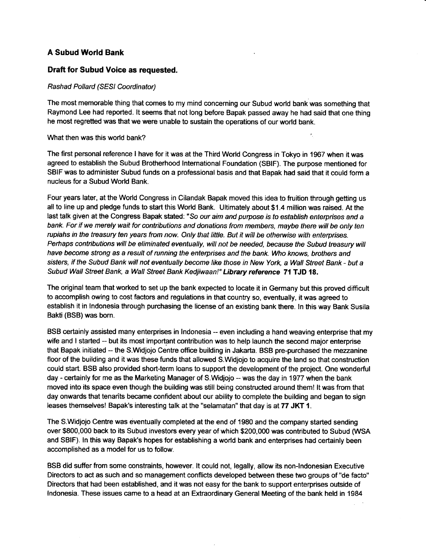## A Subud World Bank

#### Draft for Subud Voice as requested.

#### Rashad Pollard (SESI Coordinator)

The most memorable thing that comes to my mind conceming our Subud world bank was something that Raymond Lee had reported. lt seems that not long before Bapak passed away he had said that one thing he most regretted was that we were unable to sustain the operations of our world bank.

#### What then was this world bank?

The first personal reference I have for it was at the Third World Congress in Tokyo in 1967 when it was agreed to establish the Subud Brotherhood lntemational Foundation (SBIF). The purpose mentioned for SBIF was to administer Subud funds on a professional basis and that Bapak had said that it could form a nucleus for a Subud World Bank.

Four years later, at the Wodd Congress in Cilandak Bapak moved this idea to fruition through getting us all to line up and pledge funds to start this World Bank. Ultimately about \$1.4 million was raised. At the last talk given at the Congress Bapak stated: "So our aim and purpose is to establish enterprises and a bank. For if we merely wait for contributions and donations from members, maybe there will be only ten rupiahs in the treasury ten years from now. Only that little. But it will be otherwise with enterprises. Perhaps contributions will be eliminated eventually, will not be needed, because the Subud treasury will have become strong as a result of running the enterprises and the bank. Who knows, brothers and sisters, if the Subud Bank will not eventually become like those in New York, a Wall Street Bank - but a Subud Wall Street Bank, a Wall Street Bank Kedjiwaan!" Library reference 71 TJD 18.

The original team that worked to set up the bank expected to locate it in Germany but this proved difficult to accomplish owing to cost factors and regulations in that country so, eventually, it was agreed to establish it in lndonesia through purchasing the license of an existing bank there. ln this way Bank Susila Bakti(BSB) was born.

BSB certainly assisted many enterprises in lndonesia -- even including a hand weaving enterprise that my wife and I started -- but its most important contribution was to help launch the second major enterprise that Bapak initiated -- the S.Widjojo Centre office building in Jakarta. BSB pre-purchased the mezzanine floor of the building and it was these funds that allowed S.Widjojo to acquire the land so that construction could start. BSB also provided short-term loans to support the development of the project. One wonderful day - certainly for me as the Marketing Manager of S. Widjojo -- was the day in 1977 when the bank moved into its space even though the building was still being constructed around them! lt was from that day onwards that tenants became confident about our ability to complete the building and began to sign leases themselves! Bapak's interesting talk at the "selamatan" that day is at 77 JKT 1.

The S.Widjojo Centre was eventually completed at the end of 1980 and the company started sending over \$800,000 back to its Subud investors every year of which \$200,000 was contributed to Subud WSA and SBIF). ln this way Bapak's hopes for establishing a world bank and enterprises had certainly been accomplished as a model for us to follow.

BSB did suffer from some constraints, however. lt could not, legally, allow its non-lndonesian Executive Directors to act as such and so management conflicts developed between these two groups of "de facto" Directors that had been established, and it was not easy for the bank to support enterprises outside of Indonesia. These issues came to a head at an Extraordinary General Meeting of the bank held in 1984